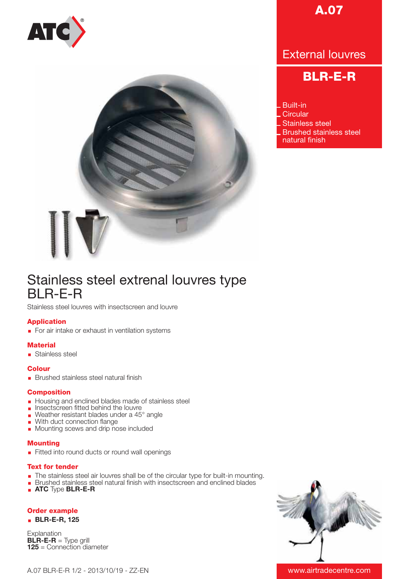



# **A.07**

# External louvres

# **BLR-E-R**

Built-in **Circular** Stainless steel Brushed stainless steel natural finish

# Stainless steel extrenal louvres type BLR-E-R

Stainless steel louvres with insectscreen and louvre

## **Application**

For air intake or exhaust in ventilation systems

## **Material**

Stainless steel

## **Colour**

**Brushed stainless steel natural finish** 

#### **Composition**

- Housing and enclined blades made of stainless steel
- **Insectscreen fitted behind the louvre**
- Weather resistant blades under a  $45^\circ$  angle
- **Nith duct connection flange**
- **Mounting scews and drip nose included**

#### **Mounting**

Fitted into round ducts or round wall openings

#### **Text for tender**

- The stainless steel air louvres shall be of the circular type for built-in mounting.
- **Brushed stainless steel natural finish with insectscreen and enclined blades**
- **ATC** Type **BLR-E-R**

# **Order example**

#### **BLR-E-R, 125**

Explanation **BLR-E-R** = Type grill **125** = Connection diameter